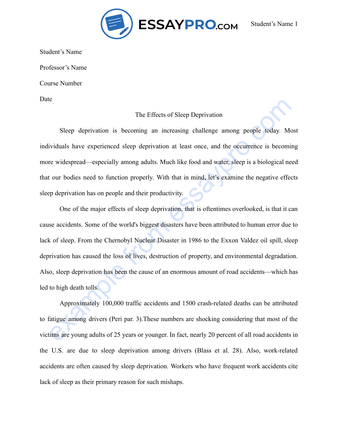

Student's Name

Professor's Name

Course Number

Date

## The Effects of Sleep Deprivation

Sleep deprivation is becoming an increasing challenge among people today. Most individuals have experienced sleep deprivation at least once, and the occurrence is becoming more widespread—especially among adults. Much like food and water, sleep is a biological need that our bodies need to function properly. With that in mind, let's examine the negative effects sleep deprivation has on people and their productivity.

The Effects of Sleep Deprivation<br>Sleep deprivation is becoming an increasing challenge among people today. Most<br>ividuals have experienced sleep deprivation at least once, and the occurrence is becoming<br>re widespread—especi One of the major effects of sleep deprivation, that is oftentimes overlooked, is that it can cause accidents. Some of the world's biggest disasters have been attributed to human error due to lack of sleep. From the Chernobyl Nuclear Disaster in 1986 to the Exxon Valdez oil spill, sleep deprivation has caused the loss of lives, destruction of property, and environmental degradation. Also, sleep deprivation has been the cause of an enormous amount of road accidents—which has led to high death tolls.

Approximately 100,000 traffic accidents and 1500 crash-related deaths can be attributed to fatigue among drivers (Peri par. 3).These numbers are shocking considering that most of the victims are young adults of 25 years or younger. In fact, nearly 20 percent of all road accidents in the U.S. are due to sleep deprivation among drivers (Blass et al. 28). Also, work-related accidents are often caused by sleep deprivation. Workers who have frequent work accidents cite lack of sleep as their primary reason for such mishaps.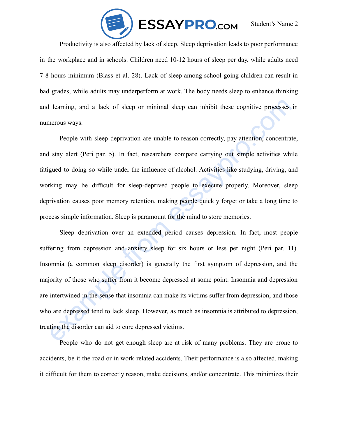

Productivity is also affected by lack of sleep. Sleep deprivation leads to poor performance in the workplace and in schools. Children need 10-12 hours of sleep per day, while adults need 7-8 hours minimum (Blass et al. 28). Lack of sleep among school-going children can result in bad grades, while adults may underperform at work. The body needs sleep to enhance thinking and learning, and a lack of sleep or minimal sleep can inhibit these cognitive processes in numerous ways.

People with sleep deprivation are unable to reason correctly, pay attention, concentrate, and stay alert (Peri par. 5). In fact, researchers compare carrying out simple activities while fatigued to doing so while under the influence of alcohol. Activities like studying, driving, and working may be difficult for sleep-deprived people to execute properly. Moreover, sleep deprivation causes poor memory retention, making people quickly forget or take a long time to process simple information. Sleep is paramount for the mind to store memories.

l learning, and a lack of sleep or minimal sleep can inhibit these cognitive processes in<br>merous ways.<br>
People with sleep deprivation are unable to reason correctly, pay attention, concentrate,<br>
1 stay alert (Peri par. 5). Sleep deprivation over an extended period causes depression. In fact, most people suffering from depression and anxiety sleep for six hours or less per night (Peri par. 11). Insomnia (a common sleep disorder) is generally the first symptom of depression, and the majority of those who suffer from it become depressed at some point. Insomnia and depression are intertwined in the sense that insomnia can make its victims suffer from depression, and those who are depressed tend to lack sleep. However, as much as insomnia is attributed to depression, treating the disorder can aid to cure depressed victims.

People who do not get enough sleep are at risk of many problems. They are prone to accidents, be it the road or in work-related accidents. Their performance is also affected, making it difficult for them to correctly reason, make decisions, and/or concentrate. This minimizes their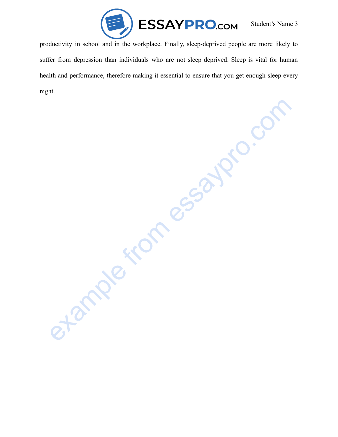

productivity in school and in the workplace. Finally, sleep-deprived people are more likely to suffer from depression than individuals who are not sleep deprived. Sleep is vital for human health and performance, therefore making it essential to ensure that you get enough sleep every night.

example from essaypro.com